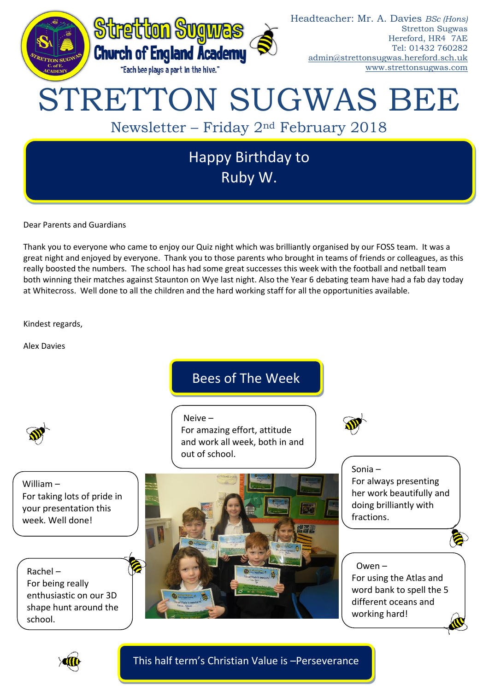

Dear Parents and Guardians

Thank you to everyone who came to enjoy our Quiz night which was brilliantly organised by our FOSS team. It was a great night and enjoyed by everyone. Thank you to those parents who brought in teams of friends or colleagues, as this really boosted the numbers. The school has had some great successes this week with the football and netball team both winning their matches against Staunton on Wye last night. Also the Year 6 debating team have had a fab day today at Whitecross. Well done to all the children and the hard working staff for all the opportunities available.

Kindest regards,

Alex Davies

William –

# Bees of The Week

For amazing effort, attitude

Neive –

and work all week, both in and out of school.

For taking lots of pride in your presentation this week. Well done!

Rachel – For being really enthusiastic on our 3D shape hunt around the school.



Sonia – For always presenting her work beautifully and doing brilliantly with fractions.

#### Owen –

For using the Atlas and word bank to spell the 5 different oceans and working hard!



This half term's Christian Value is –Perseverance